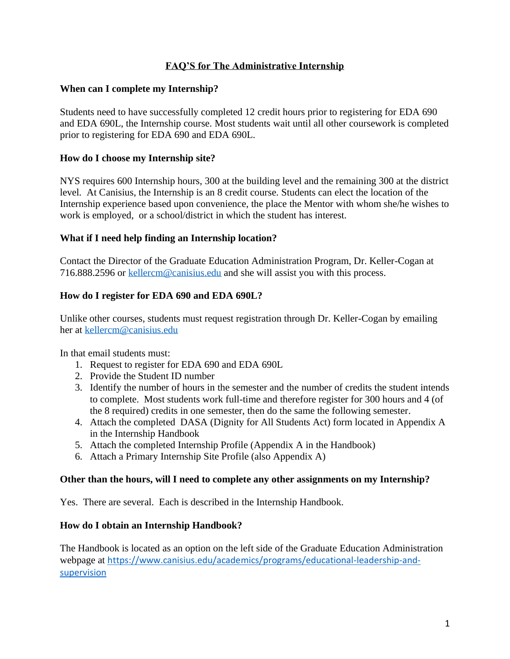# **FAQ'S for The Administrative Internship**

## **When can I complete my Internship?**

Students need to have successfully completed 12 credit hours prior to registering for EDA 690 and EDA 690L, the Internship course. Most students wait until all other coursework is completed prior to registering for EDA 690 and EDA 690L.

## **How do I choose my Internship site?**

NYS requires 600 Internship hours, 300 at the building level and the remaining 300 at the district level. At Canisius, the Internship is an 8 credit course. Students can elect the location of the Internship experience based upon convenience, the place the Mentor with whom she/he wishes to work is employed, or a school/district in which the student has interest.

## **What if I need help finding an Internship location?**

Contact the Director of the Graduate Education Administration Program, Dr. Keller-Cogan at 716.888.2596 or [kellercm@canisius.edu](mailto:kellercm@canisius.edu) and she will assist you with this process.

## **How do I register for EDA 690 and EDA 690L?**

Unlike other courses, students must request registration through Dr. Keller-Cogan by emailing her at [kellercm@canisius.edu](mailto:kellercm@canisius.edu)

In that email students must:

- 1. Request to register for EDA 690 and EDA 690L
- 2. Provide the Student ID number
- 3. Identify the number of hours in the semester and the number of credits the student intends to complete. Most students work full-time and therefore register for 300 hours and 4 (of the 8 required) credits in one semester, then do the same the following semester.
- 4. Attach the completed DASA (Dignity for All Students Act) form located in Appendix A in the Internship Handbook
- 5. Attach the completed Internship Profile (Appendix A in the Handbook)
- 6. Attach a Primary Internship Site Profile (also Appendix A)

#### **Other than the hours, will I need to complete any other assignments on my Internship?**

Yes. There are several. Each is described in the Internship Handbook.

#### **How do I obtain an Internship Handbook?**

The Handbook is located as an option on the left side of the Graduate Education Administration webpage at [https://www.canisius.edu/academics/programs/educational-leadership-and](https://www.canisius.edu/academics/programs/educational-leadership-and-supervision)[supervision](https://www.canisius.edu/academics/programs/educational-leadership-and-supervision)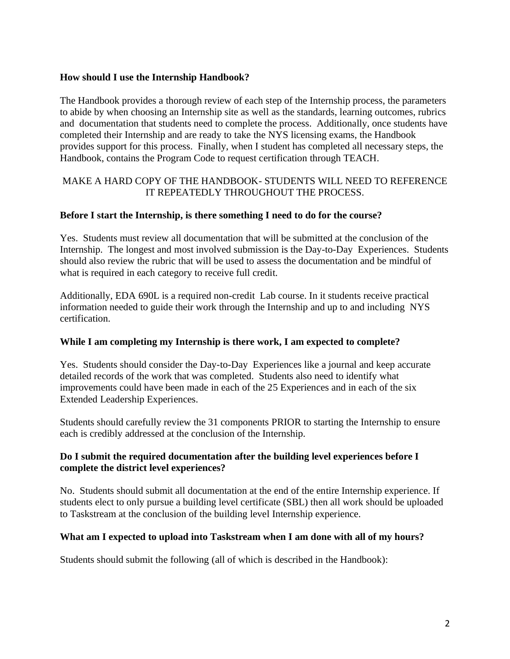## **How should I use the Internship Handbook?**

The Handbook provides a thorough review of each step of the Internship process, the parameters to abide by when choosing an Internship site as well as the standards, learning outcomes, rubrics and documentation that students need to complete the process. Additionally, once students have completed their Internship and are ready to take the NYS licensing exams, the Handbook provides support for this process. Finally, when I student has completed all necessary steps, the Handbook, contains the Program Code to request certification through TEACH.

# MAKE A HARD COPY OF THE HANDBOOK- STUDENTS WILL NEED TO REFERENCE IT REPEATEDLY THROUGHOUT THE PROCESS.

# **Before I start the Internship, is there something I need to do for the course?**

Yes. Students must review all documentation that will be submitted at the conclusion of the Internship. The longest and most involved submission is the Day-to-Day Experiences. Students should also review the rubric that will be used to assess the documentation and be mindful of what is required in each category to receive full credit.

Additionally, EDA 690L is a required non-credit Lab course. In it students receive practical information needed to guide their work through the Internship and up to and including NYS certification.

# **While I am completing my Internship is there work, I am expected to complete?**

Yes. Students should consider the Day-to-Day Experiences like a journal and keep accurate detailed records of the work that was completed. Students also need to identify what improvements could have been made in each of the 25 Experiences and in each of the six Extended Leadership Experiences.

Students should carefully review the 31 components PRIOR to starting the Internship to ensure each is credibly addressed at the conclusion of the Internship.

## **Do I submit the required documentation after the building level experiences before I complete the district level experiences?**

No. Students should submit all documentation at the end of the entire Internship experience. If students elect to only pursue a building level certificate (SBL) then all work should be uploaded to Taskstream at the conclusion of the building level Internship experience.

# **What am I expected to upload into Taskstream when I am done with all of my hours?**

Students should submit the following (all of which is described in the Handbook):